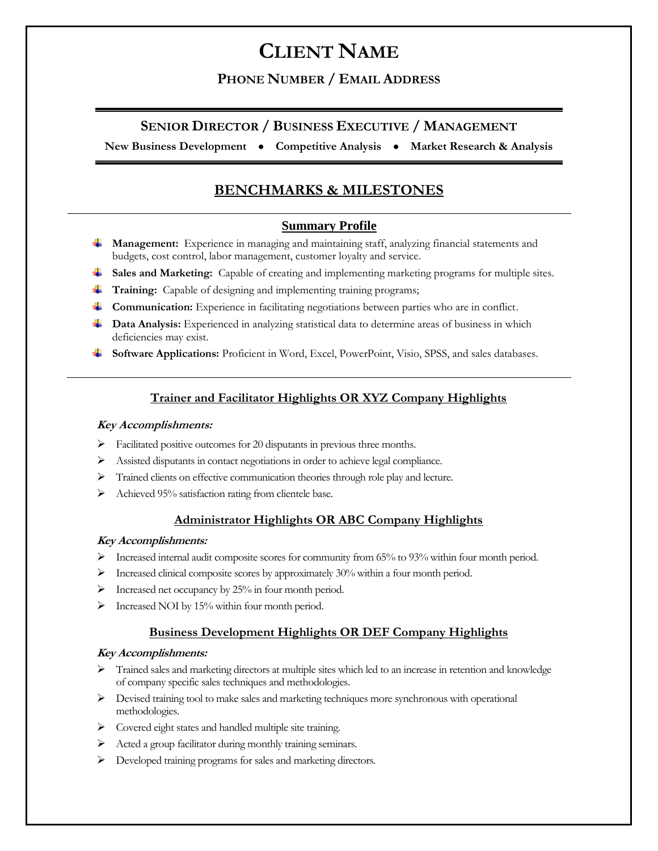## **PHONE NUMBER / EMAIL ADDRESS**

## **SENIOR DIRECTOR / BUSINESS EXECUTIVE / MANAGEMENT**

**New Business Development Competitive Analysis Market Research & Analysis** 

# **BENCHMARKS & MILESTONES**

### **Summary Profile**

- **Management:** Experience in managing and maintaining staff, analyzing financial statements and budgets, cost control, labor management, customer loyalty and service.
- **Sales and Marketing:** Capable of creating and implementing marketing programs for multiple sites.
- **Training:** Capable of designing and implementing training programs;
- **Communication:** Experience in facilitating negotiations between parties who are in conflict.
- **Data Analysis:** Experienced in analyzing statistical data to determine areas of business in which deficiencies may exist.
- **Software Applications:** Proficient in Word, Excel, PowerPoint, Visio, SPSS, and sales databases.

### **Trainer and Facilitator Highlights OR XYZ Company Highlights**

#### **Key Accomplishments:**

- $\triangleright$  Facilitated positive outcomes for 20 disputants in previous three months.
- Assisted disputants in contact negotiations in order to achieve legal compliance.
- > Trained clients on effective communication theories through role play and lecture.
- $\triangleright$  Achieved 95% satisfaction rating from clientele base.

### **Administrator Highlights OR ABC Company Highlights**

#### **Key Accomplishments:**

- Increased internal audit composite scores for community from 65% to 93% within four month period.
- Increased clinical composite scores by approximately 30% within a four month period.
- $\triangleright$  Increased net occupancy by 25% in four month period.
- $\triangleright$  Increased NOI by 15% within four month period.

### **Business Development Highlights OR DEF Company Highlights**

### **Key Accomplishments:**

- Trained sales and marketing directors at multiple sites which led to an increase in retention and knowledge of company specific sales techniques and methodologies.
- $\triangleright$  Devised training tool to make sales and marketing techniques more synchronous with operational methodologies.
- > Covered eight states and handled multiple site training.
- Acted a group facilitator during monthly training seminars.
- Developed training programs for sales and marketing directors.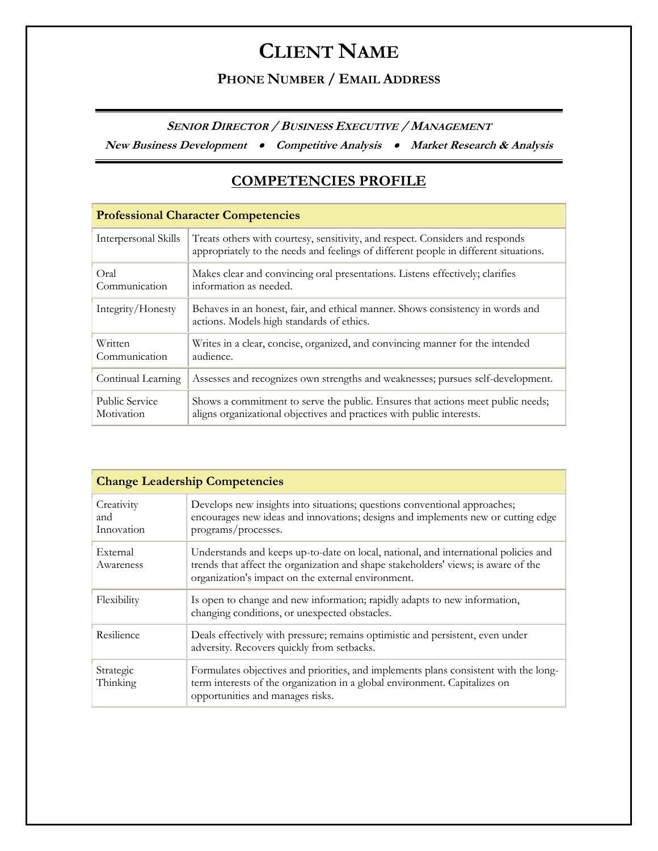# **PHONE NUMBER / EMAIL ADDRESS**

**SENIOR DIRECTOR / BUSINESS EXECUTIVE / MANAGEMENT**

**New Business Development Competitive Analysis Market Research & Analysis** 

# **COMPETENCIES PROFILE**

| <b>Professional Character Competencies</b> |                                                                                                                                                                       |  |
|--------------------------------------------|-----------------------------------------------------------------------------------------------------------------------------------------------------------------------|--|
| Interpersonal Skills                       | Treats others with courtesy, sensitivity, and respect. Considers and responds<br>appropriately to the needs and feelings of different people in different situations. |  |
| Oral<br>Communication                      | Makes clear and convincing oral presentations. Listens effectively; clarifies<br>information as needed.                                                               |  |
| Integrity/Honesty                          | Behaves in an honest, fair, and ethical manner. Shows consistency in words and<br>actions. Models high standards of ethics.                                           |  |
| Written<br>Communication                   | Writes in a clear, concise, organized, and convincing manner for the intended<br>audience.                                                                            |  |
| Continual Learning                         | Assesses and recognizes own strengths and weaknesses; pursues self-development.                                                                                       |  |
| <b>Public Service</b><br>Motivation        | Shows a commitment to serve the public. Ensures that actions meet public needs;<br>aligns organizational objectives and practices with public interests.              |  |

| <b>Change Leadership Competencies</b> |                                                                                                                                                                                                                                 |  |
|---------------------------------------|---------------------------------------------------------------------------------------------------------------------------------------------------------------------------------------------------------------------------------|--|
| Creativity<br>and<br>Innovation       | Develops new insights into situations; questions conventional approaches;<br>encourages new ideas and innovations; designs and implements new or cutting edge<br>programs/processes.                                            |  |
| External<br>Awareness                 | Understands and keeps up-to-date on local, national, and international policies and<br>trends that affect the organization and shape stakeholders' views; is aware of the<br>organization's impact on the external environment. |  |
| Flexibility                           | Is open to change and new information; rapidly adapts to new information,<br>changing conditions, or unexpected obstacles.                                                                                                      |  |
| Resilience                            | Deals effectively with pressure; remains optimistic and persistent, even under<br>adversity. Recovers quickly from setbacks.                                                                                                    |  |
| Strategic<br>Thinking                 | Formulates objectives and priorities, and implements plans consistent with the long-<br>term interests of the organization in a global environment. Capitalizes on<br>opportunities and manages risks.                          |  |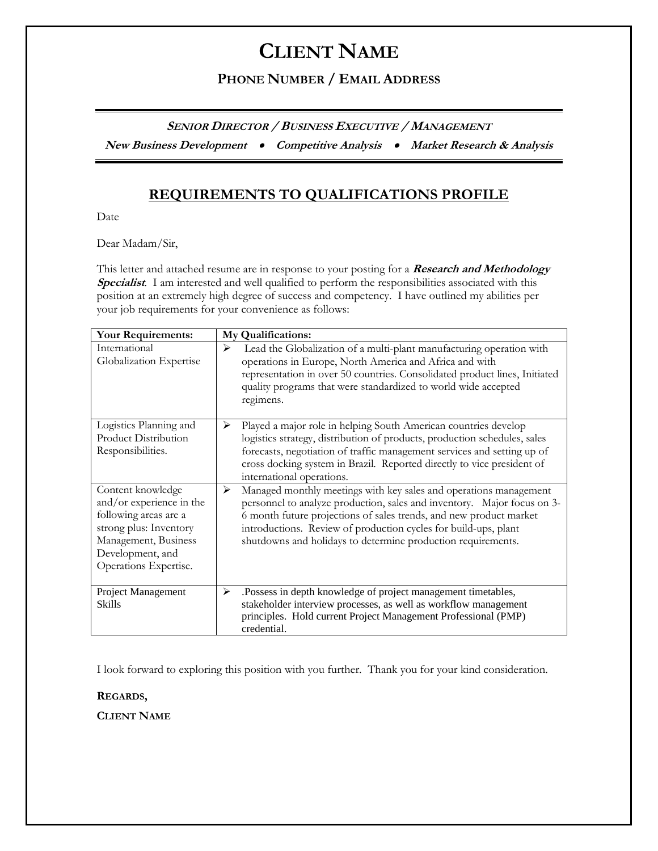# **PHONE NUMBER / EMAIL ADDRESS**

**SENIOR DIRECTOR / BUSINESS EXECUTIVE / MANAGEMENT**

**New Business Development Competitive Analysis Market Research & Analysis** 

# **REQUIREMENTS TO QUALIFICATIONS PROFILE**

Date

Dear Madam/Sir,

This letter and attached resume are in response to your posting for a **Research and Methodology Specialist***.* I am interested and well qualified to perform the responsibilities associated with this position at an extremely high degree of success and competency. I have outlined my abilities per your job requirements for your convenience as follows:

| <b>Your Requirements:</b>                                                                                                                                             | My Qualifications:                                                                                                                                                                                                                                                                                                                                         |
|-----------------------------------------------------------------------------------------------------------------------------------------------------------------------|------------------------------------------------------------------------------------------------------------------------------------------------------------------------------------------------------------------------------------------------------------------------------------------------------------------------------------------------------------|
| International<br>Globalization Expertise                                                                                                                              | Lead the Globalization of a multi-plant manufacturing operation with<br>≻<br>operations in Europe, North America and Africa and with<br>representation in over 50 countries. Consolidated product lines, Initiated<br>quality programs that were standardized to world wide accepted<br>regimens.                                                          |
| Logistics Planning and<br>Product Distribution<br>Responsibilities.                                                                                                   | Played a major role in helping South American countries develop<br>➤<br>logistics strategy, distribution of products, production schedules, sales<br>forecasts, negotiation of traffic management services and setting up of<br>cross docking system in Brazil. Reported directly to vice president of<br>international operations.                        |
| Content knowledge<br>and/or experience in the<br>following areas are a<br>strong plus: Inventory<br>Management, Business<br>Development, and<br>Operations Expertise. | ➤<br>Managed monthly meetings with key sales and operations management<br>personnel to analyze production, sales and inventory. Major focus on 3-<br>6 month future projections of sales trends, and new product market<br>introductions. Review of production cycles for build-ups, plant<br>shutdowns and holidays to determine production requirements. |
| Project Management<br><b>Skills</b>                                                                                                                                   | .Possess in depth knowledge of project management timetables,<br>≻<br>stakeholder interview processes, as well as workflow management<br>principles. Hold current Project Management Professional (PMP)<br>credential.                                                                                                                                     |

I look forward to exploring this position with you further. Thank you for your kind consideration.

**REGARDS,**

**CLIENT NAME**